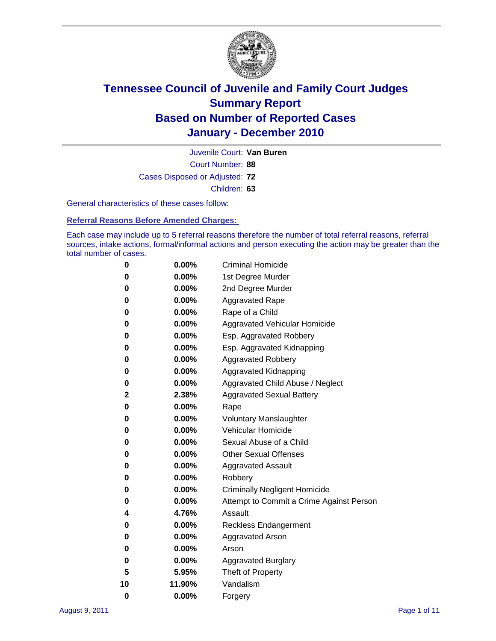

Court Number: **88** Juvenile Court: **Van Buren** Cases Disposed or Adjusted: **72** Children: **63**

General characteristics of these cases follow:

**Referral Reasons Before Amended Charges:** 

Each case may include up to 5 referral reasons therefore the number of total referral reasons, referral sources, intake actions, formal/informal actions and person executing the action may be greater than the total number of cases.

| 0  | 0.00%    | <b>Criminal Homicide</b>                 |
|----|----------|------------------------------------------|
| 0  | 0.00%    | 1st Degree Murder                        |
| 0  | 0.00%    | 2nd Degree Murder                        |
| 0  | 0.00%    | <b>Aggravated Rape</b>                   |
| 0  | 0.00%    | Rape of a Child                          |
| 0  | 0.00%    | Aggravated Vehicular Homicide            |
| 0  | 0.00%    | Esp. Aggravated Robbery                  |
| 0  | 0.00%    | Esp. Aggravated Kidnapping               |
| 0  | 0.00%    | <b>Aggravated Robbery</b>                |
| 0  | 0.00%    | Aggravated Kidnapping                    |
| 0  | 0.00%    | Aggravated Child Abuse / Neglect         |
| 2  | 2.38%    | <b>Aggravated Sexual Battery</b>         |
| 0  | 0.00%    | Rape                                     |
| 0  | $0.00\%$ | <b>Voluntary Manslaughter</b>            |
| 0  | 0.00%    | Vehicular Homicide                       |
| 0  | 0.00%    | Sexual Abuse of a Child                  |
| 0  | 0.00%    | <b>Other Sexual Offenses</b>             |
| 0  | 0.00%    | <b>Aggravated Assault</b>                |
| 0  | $0.00\%$ | Robbery                                  |
| 0  | 0.00%    | <b>Criminally Negligent Homicide</b>     |
| 0  | 0.00%    | Attempt to Commit a Crime Against Person |
| 4  | 4.76%    | Assault                                  |
| 0  | 0.00%    | <b>Reckless Endangerment</b>             |
| 0  | 0.00%    | <b>Aggravated Arson</b>                  |
| 0  | 0.00%    | Arson                                    |
| 0  | 0.00%    | <b>Aggravated Burglary</b>               |
| 5  | 5.95%    | Theft of Property                        |
| 10 | 11.90%   | Vandalism                                |
| 0  | 0.00%    | Forgery                                  |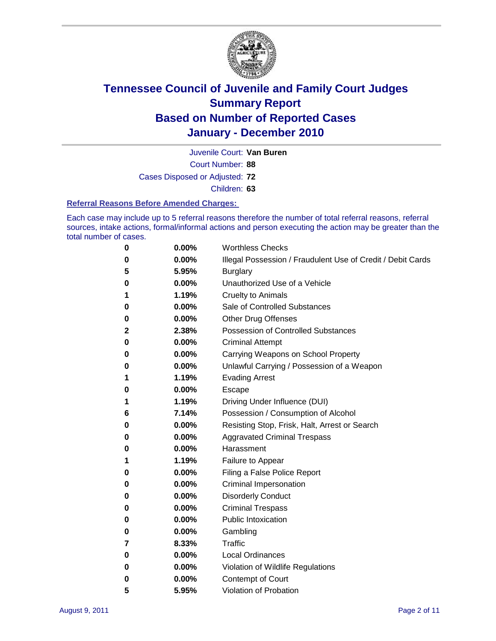

Juvenile Court: **Van Buren**

Court Number: **88**

Cases Disposed or Adjusted: **72**

Children: **63**

#### **Referral Reasons Before Amended Charges:**

Each case may include up to 5 referral reasons therefore the number of total referral reasons, referral sources, intake actions, formal/informal actions and person executing the action may be greater than the total number of cases.

| 0            | 0.00%    | <b>Worthless Checks</b>                                     |
|--------------|----------|-------------------------------------------------------------|
| 0            | 0.00%    | Illegal Possession / Fraudulent Use of Credit / Debit Cards |
| 5            | 5.95%    | <b>Burglary</b>                                             |
| 0            | $0.00\%$ | Unauthorized Use of a Vehicle                               |
| 1            | 1.19%    | <b>Cruelty to Animals</b>                                   |
| 0            | 0.00%    | Sale of Controlled Substances                               |
| 0            | 0.00%    | <b>Other Drug Offenses</b>                                  |
| $\mathbf{2}$ | 2.38%    | <b>Possession of Controlled Substances</b>                  |
| 0            | 0.00%    | <b>Criminal Attempt</b>                                     |
| 0            | 0.00%    | Carrying Weapons on School Property                         |
| 0            | 0.00%    | Unlawful Carrying / Possession of a Weapon                  |
| 1            | 1.19%    | <b>Evading Arrest</b>                                       |
| 0            | $0.00\%$ | Escape                                                      |
| 1            | 1.19%    | Driving Under Influence (DUI)                               |
| 6            | 7.14%    | Possession / Consumption of Alcohol                         |
| 0            | $0.00\%$ | Resisting Stop, Frisk, Halt, Arrest or Search               |
| 0            | $0.00\%$ | <b>Aggravated Criminal Trespass</b>                         |
| 0            | $0.00\%$ | Harassment                                                  |
| 1            | 1.19%    | Failure to Appear                                           |
| 0            | 0.00%    | Filing a False Police Report                                |
| 0            | 0.00%    | Criminal Impersonation                                      |
| 0            | 0.00%    | <b>Disorderly Conduct</b>                                   |
| 0            | 0.00%    | <b>Criminal Trespass</b>                                    |
| 0            | 0.00%    | <b>Public Intoxication</b>                                  |
| 0            | $0.00\%$ | Gambling                                                    |
| 7            | 8.33%    | Traffic                                                     |
| 0            | $0.00\%$ | <b>Local Ordinances</b>                                     |
| 0            | 0.00%    | Violation of Wildlife Regulations                           |
| 0            | $0.00\%$ | Contempt of Court                                           |
| 5            | 5.95%    | Violation of Probation                                      |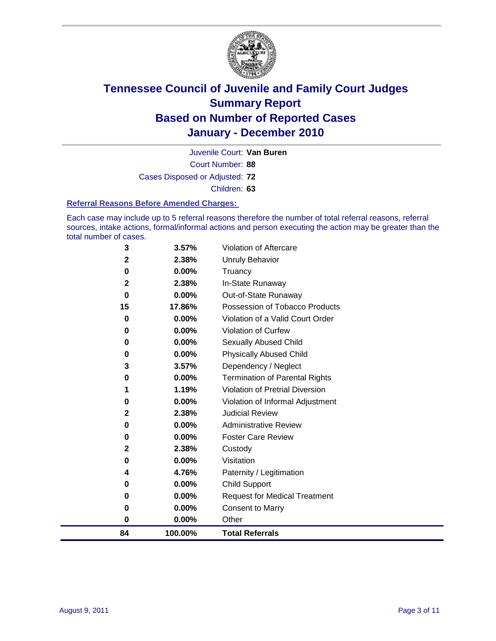

Court Number: **88** Juvenile Court: **Van Buren** Cases Disposed or Adjusted: **72** Children: **63**

#### **Referral Reasons Before Amended Charges:**

Each case may include up to 5 referral reasons therefore the number of total referral reasons, referral sources, intake actions, formal/informal actions and person executing the action may be greater than the total number of cases.

| 84          | 100.00% | <b>Total Referrals</b>                 |
|-------------|---------|----------------------------------------|
| 0           | 0.00%   | Other                                  |
| 0           | 0.00%   | <b>Consent to Marry</b>                |
| 0           | 0.00%   | <b>Request for Medical Treatment</b>   |
| 0           | 0.00%   | <b>Child Support</b>                   |
| 4           | 4.76%   | Paternity / Legitimation               |
| 0           | 0.00%   | Visitation                             |
| 2           | 2.38%   | Custody                                |
| 0           | 0.00%   | <b>Foster Care Review</b>              |
| 0           | 0.00%   | <b>Administrative Review</b>           |
| 2           | 2.38%   | <b>Judicial Review</b>                 |
| 0           | 0.00%   | Violation of Informal Adjustment       |
| 1           | 1.19%   | <b>Violation of Pretrial Diversion</b> |
| 0           | 0.00%   | Termination of Parental Rights         |
| 3           | 3.57%   | Dependency / Neglect                   |
| 0           | 0.00%   | <b>Physically Abused Child</b>         |
| 0           | 0.00%   | <b>Sexually Abused Child</b>           |
| 0           | 0.00%   | Violation of Curfew                    |
| 0           | 0.00%   | Violation of a Valid Court Order       |
| 15          | 17.86%  | Possession of Tobacco Products         |
| $\mathbf 0$ | 0.00%   | Out-of-State Runaway                   |
| 2           | 2.38%   | In-State Runaway                       |
| 0           | 0.00%   | Truancy                                |
| 2           | 2.38%   | <b>Unruly Behavior</b>                 |
| 3           | 3.57%   | <b>Violation of Aftercare</b>          |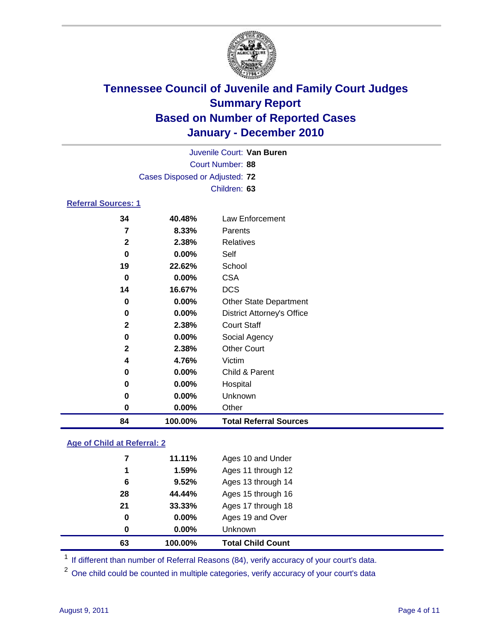

|                     |                                | Juvenile Court: Van Buren         |  |  |  |  |
|---------------------|--------------------------------|-----------------------------------|--|--|--|--|
|                     | Court Number: 88               |                                   |  |  |  |  |
|                     | Cases Disposed or Adjusted: 72 |                                   |  |  |  |  |
|                     | Children: 63                   |                                   |  |  |  |  |
| Referral Sources: 1 |                                |                                   |  |  |  |  |
| 34                  | 40.48%                         | Law Enforcement                   |  |  |  |  |
| 7                   | 8.33%                          | Parents                           |  |  |  |  |
| $\mathbf{2}$        | 2.38%                          | Relatives                         |  |  |  |  |
| 0                   | 0.00%                          | Self                              |  |  |  |  |
| 19                  | 22.62%                         | School                            |  |  |  |  |
| 0                   | $0.00\%$                       | <b>CSA</b>                        |  |  |  |  |
| 14                  | 16.67%                         | <b>DCS</b>                        |  |  |  |  |
| 0                   | 0.00%                          | <b>Other State Department</b>     |  |  |  |  |
| 0                   | 0.00%                          | <b>District Attorney's Office</b> |  |  |  |  |
| $\mathbf{2}$        | 2.38%                          | <b>Court Staff</b>                |  |  |  |  |
| 0                   | $0.00\%$                       | Social Agency                     |  |  |  |  |
| $\mathbf{2}$        | 2.38%                          | <b>Other Court</b>                |  |  |  |  |
| 4                   | 4.76%                          | Victim                            |  |  |  |  |
| 0                   | $0.00\%$                       | Child & Parent                    |  |  |  |  |
| 0                   | 0.00%                          | Hospital                          |  |  |  |  |

# **Age of Child at Referral: 2**

| 63       | 100.00%  | <b>Total Child Count</b> |
|----------|----------|--------------------------|
| $\bf{0}$ | $0.00\%$ | <b>Unknown</b>           |
| 0        | 0.00%    | Ages 19 and Over         |
| 21       | 33.33%   | Ages 17 through 18       |
| 28       | 44.44%   | Ages 15 through 16       |
| 6        | 9.52%    | Ages 13 through 14       |
| 1        | 1.59%    | Ages 11 through 12       |
| 7        | 11.11%   | Ages 10 and Under        |
|          |          |                          |

<sup>1</sup> If different than number of Referral Reasons (84), verify accuracy of your court's data.

 **0.00%** Unknown **0.00%** Other

**100.00% Total Referral Sources**

<sup>2</sup> One child could be counted in multiple categories, verify accuracy of your court's data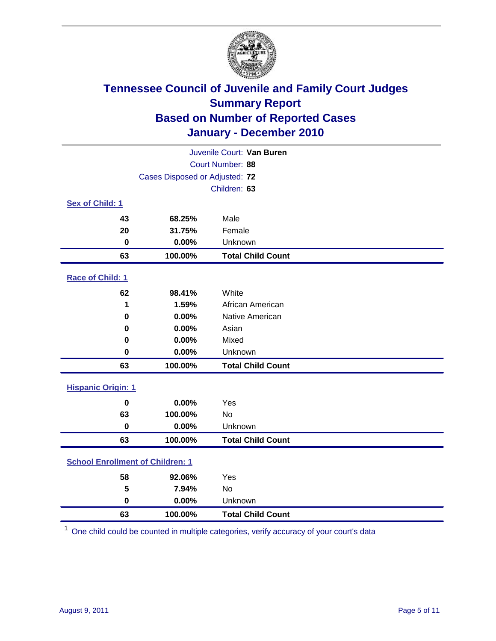

| Juvenile Court: Van Buren               |                  |                          |  |  |  |
|-----------------------------------------|------------------|--------------------------|--|--|--|
|                                         | Court Number: 88 |                          |  |  |  |
| Cases Disposed or Adjusted: 72          |                  |                          |  |  |  |
|                                         |                  | Children: 63             |  |  |  |
| Sex of Child: 1                         |                  |                          |  |  |  |
| 43                                      | 68.25%           | Male                     |  |  |  |
| 20                                      | 31.75%           | Female                   |  |  |  |
| $\mathbf 0$                             | 0.00%            | Unknown                  |  |  |  |
| 63                                      | 100.00%          | <b>Total Child Count</b> |  |  |  |
| Race of Child: 1                        |                  |                          |  |  |  |
| 62                                      | 98.41%           | White                    |  |  |  |
| 1                                       | 1.59%            | African American         |  |  |  |
| 0                                       | 0.00%            | Native American          |  |  |  |
| 0                                       | 0.00%            | Asian                    |  |  |  |
| 0                                       | 0.00%            | Mixed                    |  |  |  |
| $\mathbf 0$                             | 0.00%            | Unknown                  |  |  |  |
| 63                                      | 100.00%          | <b>Total Child Count</b> |  |  |  |
| <b>Hispanic Origin: 1</b>               |                  |                          |  |  |  |
| $\mathbf 0$                             | 0.00%            | Yes                      |  |  |  |
| 63                                      | 100.00%          | <b>No</b>                |  |  |  |
| $\mathbf 0$                             | 0.00%            | Unknown                  |  |  |  |
| 63                                      | 100.00%          | <b>Total Child Count</b> |  |  |  |
| <b>School Enrollment of Children: 1</b> |                  |                          |  |  |  |
| 58                                      | 92.06%           | Yes                      |  |  |  |
| 5                                       | 7.94%            | No                       |  |  |  |
| $\mathbf 0$                             | 0.00%            | Unknown                  |  |  |  |
| 63                                      | 100.00%          | <b>Total Child Count</b> |  |  |  |

One child could be counted in multiple categories, verify accuracy of your court's data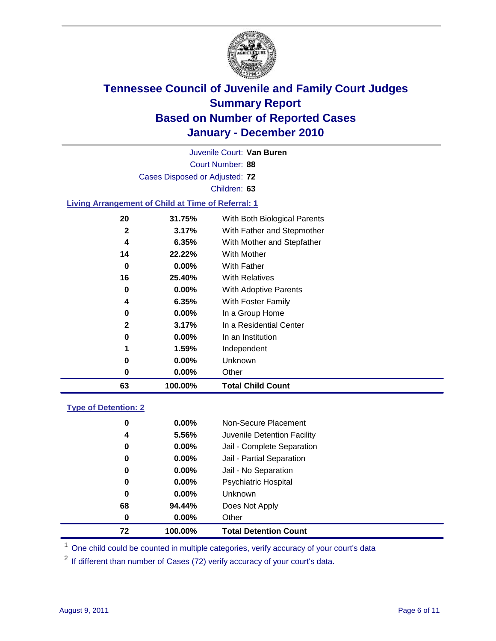

Court Number: **88** Juvenile Court: **Van Buren** Cases Disposed or Adjusted: **72** Children: **63 Living Arrangement of Child at Time of Referral: 1 31.75%** With Both Biological Parents **3.17%** With Father and Stepmother **6.35%** With Mother and Stepfather **22.22%** With Mother

| 63 | 100.00%  | <b>Total Child Count</b> |
|----|----------|--------------------------|
| 0  | $0.00\%$ | Other                    |
| 0  | $0.00\%$ | Unknown                  |
| 1  | 1.59%    | Independent              |
| 0  | $0.00\%$ | In an Institution        |
| 2  | 3.17%    | In a Residential Center  |
| 0  | $0.00\%$ | In a Group Home          |
| 4  | 6.35%    | With Foster Family       |
| 0  | $0.00\%$ | With Adoptive Parents    |
| 16 | 25.40%   | <b>With Relatives</b>    |
| 0  | $0.00\%$ | <b>With Father</b>       |
| 14 | 22.22%   | With Mother              |

### **Type of Detention: 2**

| 72       | 100.00%  | <b>Total Detention Count</b> |  |
|----------|----------|------------------------------|--|
| 0        | $0.00\%$ | Other                        |  |
| 68       | 94.44%   | Does Not Apply               |  |
| 0        | $0.00\%$ | <b>Unknown</b>               |  |
| 0        | 0.00%    | Psychiatric Hospital         |  |
| $\bf{0}$ | 0.00%    | Jail - No Separation         |  |
| 0        | $0.00\%$ | Jail - Partial Separation    |  |
| 0        | $0.00\%$ | Jail - Complete Separation   |  |
| 4        | 5.56%    | Juvenile Detention Facility  |  |
| 0        | $0.00\%$ | Non-Secure Placement         |  |
|          |          |                              |  |

<sup>1</sup> One child could be counted in multiple categories, verify accuracy of your court's data

<sup>2</sup> If different than number of Cases (72) verify accuracy of your court's data.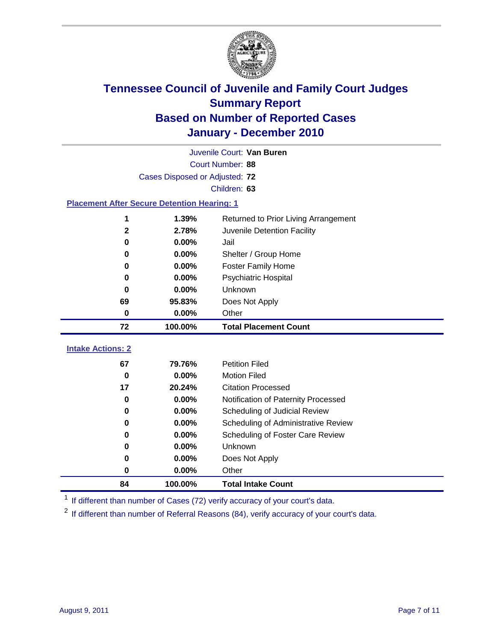

| Juvenile Court: Van Buren |                                                    |                                      |  |  |  |
|---------------------------|----------------------------------------------------|--------------------------------------|--|--|--|
|                           | Court Number: 88                                   |                                      |  |  |  |
|                           | Cases Disposed or Adjusted: 72                     |                                      |  |  |  |
|                           | Children: 63                                       |                                      |  |  |  |
|                           | <b>Placement After Secure Detention Hearing: 1</b> |                                      |  |  |  |
| 1                         | 1.39%                                              | Returned to Prior Living Arrangement |  |  |  |
| $\mathbf{2}$              | 2.78%                                              | Juvenile Detention Facility          |  |  |  |
| $\bf{0}$                  | 0.00%                                              | Jail                                 |  |  |  |
| 0                         | 0.00%                                              | Shelter / Group Home                 |  |  |  |
| 0                         | 0.00%                                              | <b>Foster Family Home</b>            |  |  |  |
| $\bf{0}$                  | 0.00%                                              | Psychiatric Hospital                 |  |  |  |
| 0                         | 0.00%                                              | Unknown                              |  |  |  |
| 69                        | 95.83%                                             | Does Not Apply                       |  |  |  |
| $\mathbf 0$               | $0.00\%$                                           | Other                                |  |  |  |
| 72                        | 100.00%                                            | <b>Total Placement Count</b>         |  |  |  |
|                           |                                                    |                                      |  |  |  |
| <b>Intake Actions: 2</b>  |                                                    |                                      |  |  |  |
| 67                        | 79.76%                                             | <b>Petition Filed</b>                |  |  |  |
| $\bf{0}$                  | 0.00%                                              | <b>Motion Filed</b>                  |  |  |  |
| 17                        | 20.24%                                             | <b>Citation Processed</b>            |  |  |  |
| 0                         | 0.00%                                              | Notification of Paternity Processed  |  |  |  |
| $\mathbf 0$               | 0.00%                                              | Scheduling of Judicial Review        |  |  |  |
| 0                         | 0.00%                                              | Scheduling of Administrative Review  |  |  |  |
| 0                         | 0.00%                                              | Scheduling of Foster Care Review     |  |  |  |
| $\bf{0}$                  | 0.00%                                              | Unknown                              |  |  |  |
| 0                         | 0.00%                                              | Does Not Apply                       |  |  |  |
| 0                         | 0.00%                                              | Other                                |  |  |  |

<sup>1</sup> If different than number of Cases (72) verify accuracy of your court's data.

<sup>2</sup> If different than number of Referral Reasons (84), verify accuracy of your court's data.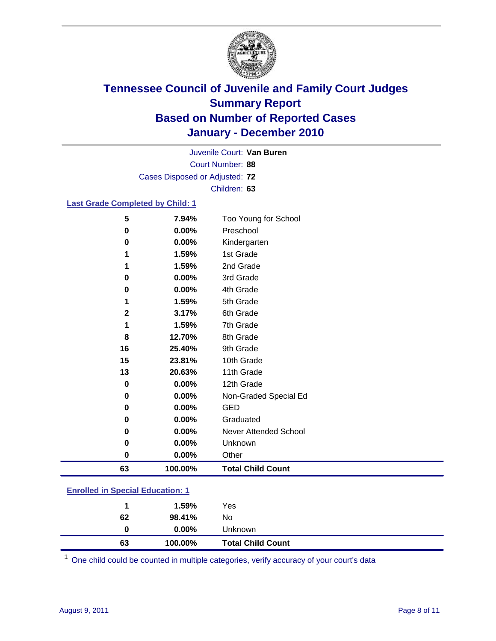

Court Number: **88** Juvenile Court: **Van Buren** Cases Disposed or Adjusted: **72** Children: **63**

#### **Last Grade Completed by Child: 1**

| 6th Grade<br>7th Grade<br>8th Grade<br>9th Grade<br>10th Grade<br>11th Grade<br>12th Grade<br>Non-Graded Special Ed<br><b>GED</b><br>Graduated<br>Never Attended School<br>Unknown<br>Other |
|---------------------------------------------------------------------------------------------------------------------------------------------------------------------------------------------|
|                                                                                                                                                                                             |
|                                                                                                                                                                                             |
|                                                                                                                                                                                             |
|                                                                                                                                                                                             |
|                                                                                                                                                                                             |
|                                                                                                                                                                                             |
|                                                                                                                                                                                             |
|                                                                                                                                                                                             |
|                                                                                                                                                                                             |
|                                                                                                                                                                                             |
|                                                                                                                                                                                             |
|                                                                                                                                                                                             |
|                                                                                                                                                                                             |
| 5th Grade                                                                                                                                                                                   |
| 4th Grade                                                                                                                                                                                   |
| 3rd Grade                                                                                                                                                                                   |
| 2nd Grade                                                                                                                                                                                   |
| 1st Grade                                                                                                                                                                                   |
| Kindergarten                                                                                                                                                                                |
| Too Young for School<br>Preschool                                                                                                                                                           |
|                                                                                                                                                                                             |

### **Enrolled in Special Education: 1**

| 63 | 100.00%  | <b>Total Child Count</b> |
|----|----------|--------------------------|
| 0  | $0.00\%$ | Unknown                  |
| 62 | 98.41%   | No                       |
|    | 1.59%    | Yes                      |
|    |          |                          |

One child could be counted in multiple categories, verify accuracy of your court's data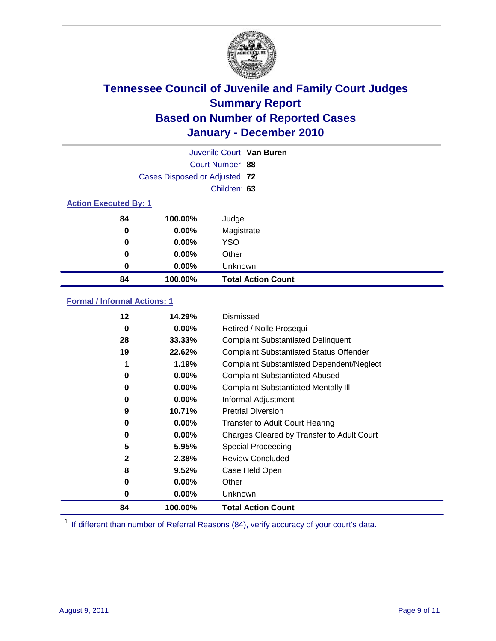

|                                | Juvenile Court: Van Buren |                           |  |  |  |
|--------------------------------|---------------------------|---------------------------|--|--|--|
| Court Number: 88               |                           |                           |  |  |  |
| Cases Disposed or Adjusted: 72 |                           |                           |  |  |  |
|                                |                           | Children: 63              |  |  |  |
| <b>Action Executed By: 1</b>   |                           |                           |  |  |  |
| 84                             | 100.00%                   | Judge                     |  |  |  |
| $\bf{0}$                       | $0.00\%$                  | Magistrate                |  |  |  |
| $\bf{0}$                       | $0.00\%$                  | <b>YSO</b>                |  |  |  |
| 0                              | $0.00\%$                  | Other                     |  |  |  |
| 0                              | 0.00%                     | Unknown                   |  |  |  |
| 84                             | 100.00%                   | <b>Total Action Count</b> |  |  |  |

### **Formal / Informal Actions: 1**

| 12           | 14.29%   | Dismissed                                        |
|--------------|----------|--------------------------------------------------|
| 0            | $0.00\%$ | Retired / Nolle Prosequi                         |
| 28           | 33.33%   | <b>Complaint Substantiated Delinquent</b>        |
| 19           | 22.62%   | <b>Complaint Substantiated Status Offender</b>   |
| 1            | 1.19%    | <b>Complaint Substantiated Dependent/Neglect</b> |
| 0            | $0.00\%$ | <b>Complaint Substantiated Abused</b>            |
| 0            | $0.00\%$ | <b>Complaint Substantiated Mentally III</b>      |
| 0            | $0.00\%$ | Informal Adjustment                              |
| 9            | 10.71%   | <b>Pretrial Diversion</b>                        |
| 0            | 0.00%    | <b>Transfer to Adult Court Hearing</b>           |
| 0            | $0.00\%$ | Charges Cleared by Transfer to Adult Court       |
| 5            | 5.95%    | Special Proceeding                               |
| $\mathbf{2}$ | 2.38%    | <b>Review Concluded</b>                          |
| 8            | 9.52%    | Case Held Open                                   |
| 0            | $0.00\%$ | Other                                            |
| 0            | 0.00%    | <b>Unknown</b>                                   |
| 84           | 100.00%  | <b>Total Action Count</b>                        |

<sup>1</sup> If different than number of Referral Reasons (84), verify accuracy of your court's data.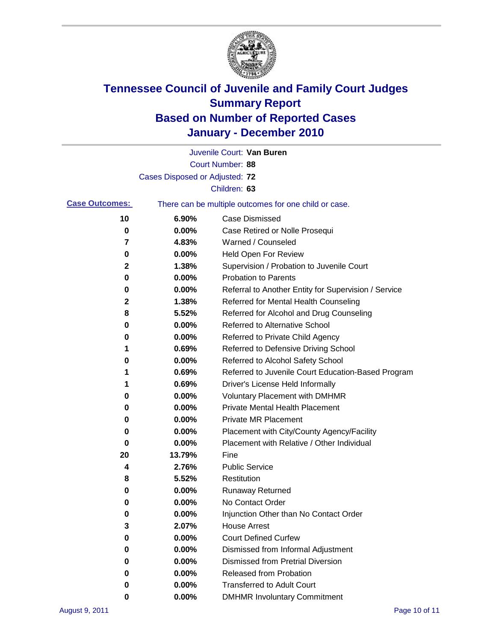

|                       |                                | Juvenile Court: Van Buren                             |
|-----------------------|--------------------------------|-------------------------------------------------------|
|                       |                                | Court Number: 88                                      |
|                       | Cases Disposed or Adjusted: 72 |                                                       |
|                       |                                | Children: 63                                          |
| <b>Case Outcomes:</b> |                                | There can be multiple outcomes for one child or case. |
| 10                    | 6.90%                          | <b>Case Dismissed</b>                                 |
| 0                     | 0.00%                          | Case Retired or Nolle Prosequi                        |
| 7                     | 4.83%                          | Warned / Counseled                                    |
| 0                     | 0.00%                          | Held Open For Review                                  |
| 2                     | 1.38%                          | Supervision / Probation to Juvenile Court             |
| 0                     | 0.00%                          | <b>Probation to Parents</b>                           |
| 0                     | 0.00%                          | Referral to Another Entity for Supervision / Service  |
| 2                     | 1.38%                          | Referred for Mental Health Counseling                 |
| 8                     | 5.52%                          | Referred for Alcohol and Drug Counseling              |
| 0                     | 0.00%                          | Referred to Alternative School                        |
| 0                     | 0.00%                          | Referred to Private Child Agency                      |
| 1                     | 0.69%                          | Referred to Defensive Driving School                  |
| 0                     | 0.00%                          | Referred to Alcohol Safety School                     |
| 1                     | 0.69%                          | Referred to Juvenile Court Education-Based Program    |
| 1                     | 0.69%                          | Driver's License Held Informally                      |
| 0                     | 0.00%                          | <b>Voluntary Placement with DMHMR</b>                 |
| 0                     | 0.00%                          | <b>Private Mental Health Placement</b>                |
| 0                     | 0.00%                          | <b>Private MR Placement</b>                           |
| 0                     | 0.00%                          | Placement with City/County Agency/Facility            |
| 0                     | 0.00%                          | Placement with Relative / Other Individual            |
| 20                    | 13.79%                         | Fine                                                  |
| 4                     | 2.76%                          | <b>Public Service</b>                                 |
| 8                     | 5.52%                          | Restitution                                           |
| 0                     | 0.00%                          | <b>Runaway Returned</b>                               |
| 0                     | 0.00%                          | No Contact Order                                      |
| 0                     | 0.00%                          | Injunction Other than No Contact Order                |
| 3                     | 2.07%                          | <b>House Arrest</b>                                   |
| 0                     | 0.00%                          | <b>Court Defined Curfew</b>                           |
| 0                     | 0.00%                          | Dismissed from Informal Adjustment                    |
| 0                     | $0.00\%$                       | <b>Dismissed from Pretrial Diversion</b>              |
| 0                     | 0.00%                          | Released from Probation                               |
| 0                     | $0.00\%$                       | <b>Transferred to Adult Court</b>                     |
| 0                     | $0.00\%$                       | <b>DMHMR Involuntary Commitment</b>                   |